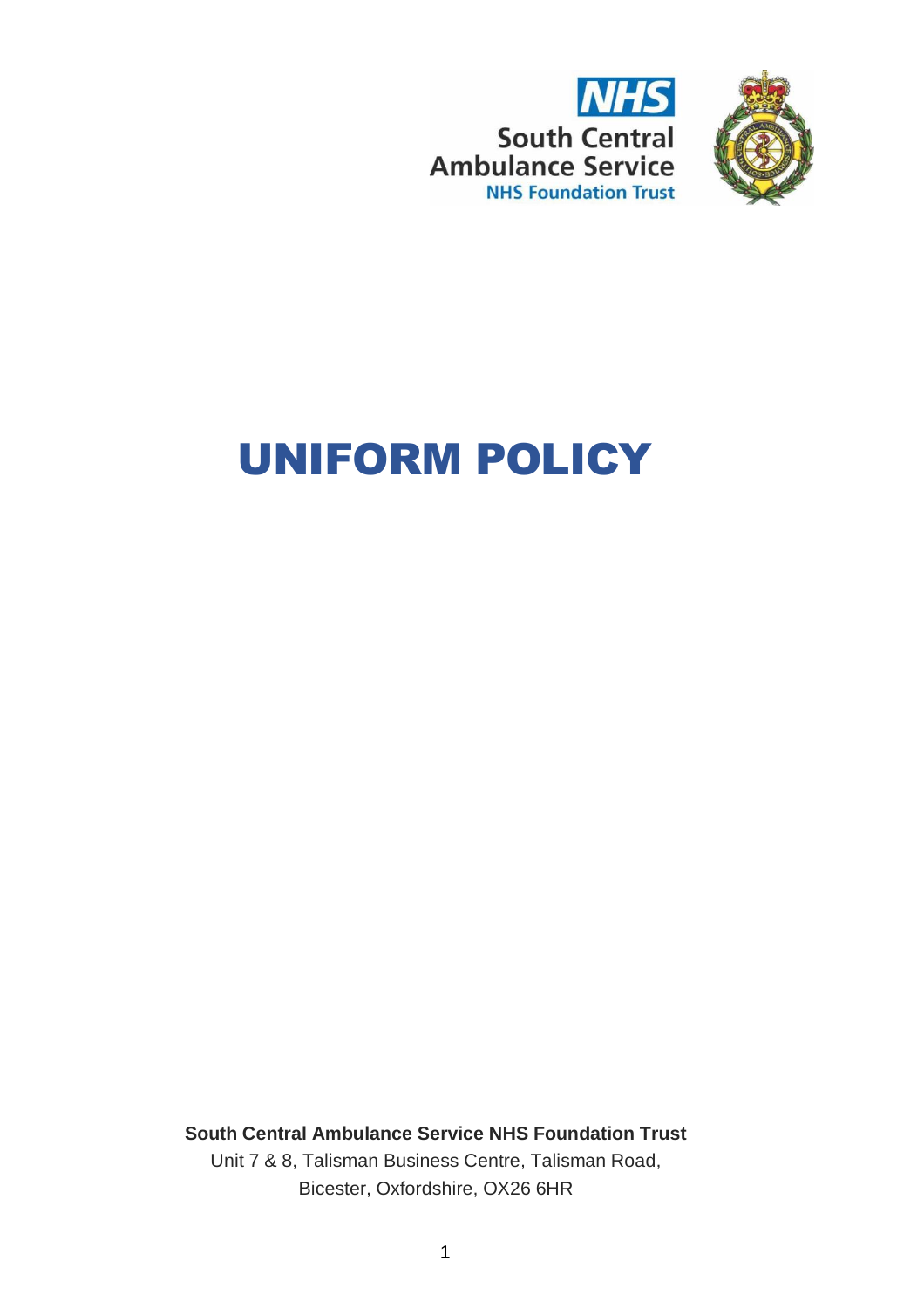



# UNIFORM POLICY

**South Central Ambulance Service NHS Foundation Trust** Unit 7 & 8, Talisman Business Centre, Talisman Road, Bicester, Oxfordshire, OX26 6HR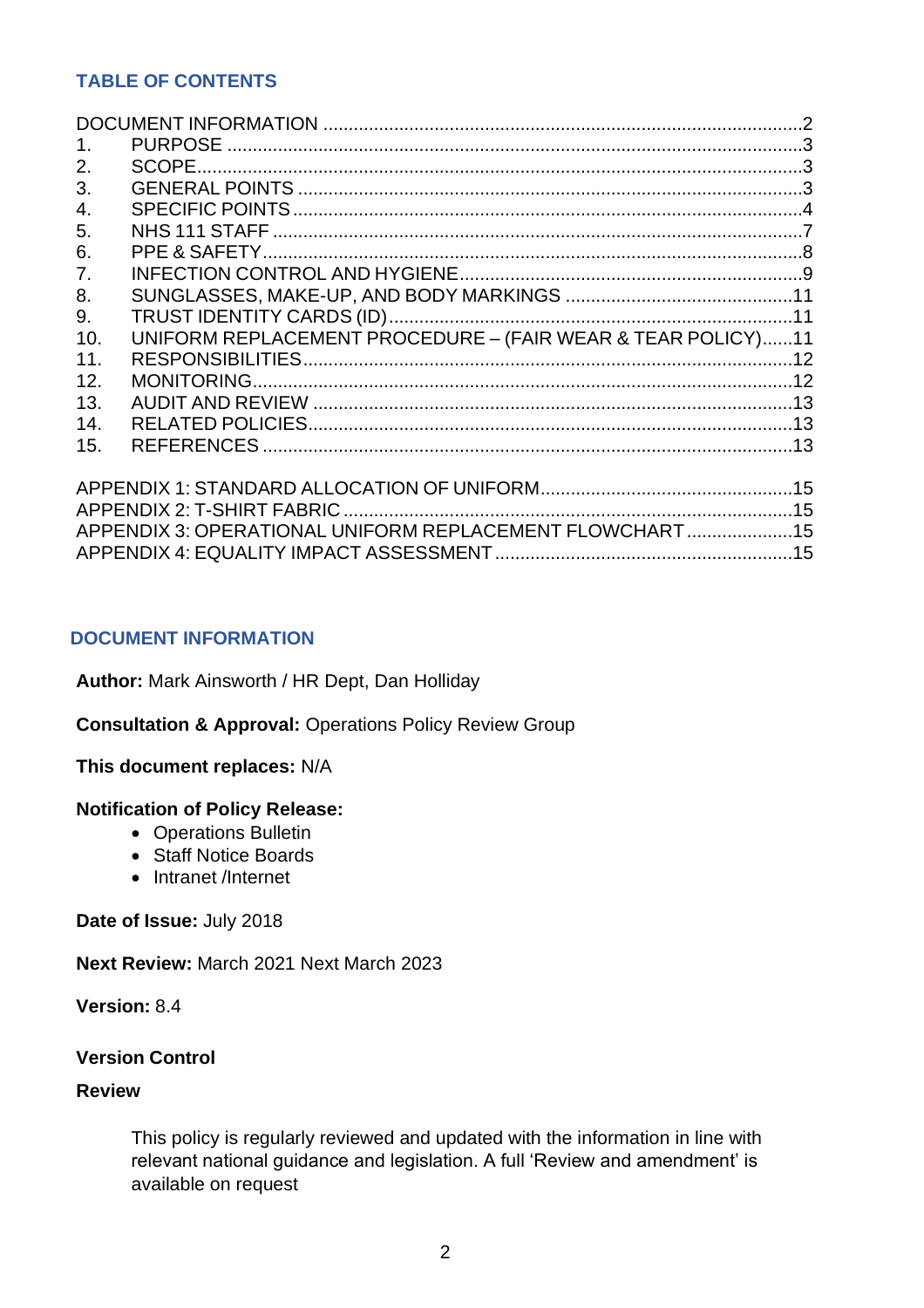# **TABLE OF CONTENTS**

| 1 <sub>1</sub>   |                                                             |  |
|------------------|-------------------------------------------------------------|--|
| 2.               |                                                             |  |
| 3.               |                                                             |  |
| $\overline{4}$ . |                                                             |  |
| 5.               |                                                             |  |
| 6.               |                                                             |  |
| 7.               |                                                             |  |
| 8.               |                                                             |  |
| 9.               |                                                             |  |
| 10.              | UNIFORM REPLACEMENT PROCEDURE - (FAIR WEAR & TEAR POLICY)11 |  |
| 11.              |                                                             |  |
| 12.              |                                                             |  |
| 13.              |                                                             |  |
| 14.              |                                                             |  |
| 15.              |                                                             |  |
|                  |                                                             |  |
|                  |                                                             |  |
|                  |                                                             |  |
|                  | APPENDIX 3: OPERATIONAL UNIFORM REPLACEMENT FLOWCHART 15    |  |
|                  |                                                             |  |

# <span id="page-1-0"></span>**DOCUMENT INFORMATION**

**Author:** Mark Ainsworth / HR Dept, Dan Holliday

**Consultation & Approval:** Operations Policy Review Group

# **This document replaces:** N/A

# **Notification of Policy Release:**

- Operations Bulletin
- Staff Notice Boards
- Intranet /Internet

**Date of Issue:** July 2018

**Next Review:** March 2021 Next March 2023

**Version:** 8.4

## **Version Control**

#### **Review**

This policy is regularly reviewed and updated with the information in line with relevant national guidance and legislation. A full 'Review and amendment' is available on request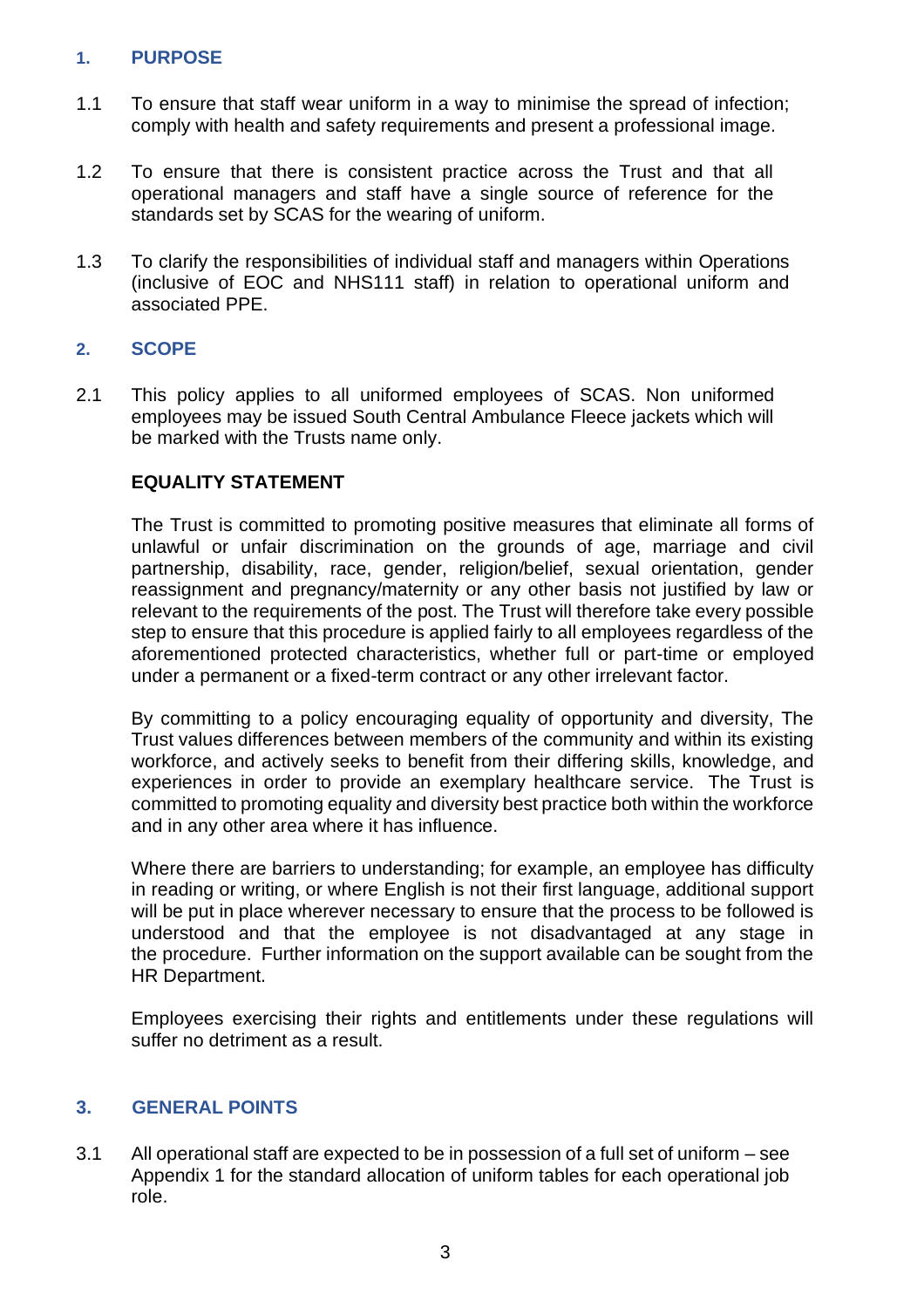# <span id="page-2-0"></span>**1. PURPOSE**

- 1.1 To ensure that staff wear uniform in a way to minimise the spread of infection; comply with health and safety requirements and present a professional image.
- 1.2 To ensure that there is consistent practice across the Trust and that all operational managers and staff have a single source of reference for the standards set by SCAS for the wearing of uniform.
- 1.3 To clarify the responsibilities of individual staff and managers within Operations (inclusive of EOC and NHS111 staff) in relation to operational uniform and associated PPE.

# <span id="page-2-1"></span>**2. SCOPE**

2.1 This policy applies to all uniformed employees of SCAS. Non uniformed employees may be issued South Central Ambulance Fleece jackets which will be marked with the Trusts name only.

# **EQUALITY STATEMENT**

The Trust is committed to promoting positive measures that eliminate all forms of unlawful or unfair discrimination on the grounds of age, marriage and civil partnership, disability, race, gender, religion/belief, sexual orientation, gender reassignment and pregnancy/maternity or any other basis not justified by law or relevant to the requirements of the post. The Trust will therefore take every possible step to ensure that this procedure is applied fairly to all employees regardless of the aforementioned protected characteristics, whether full or part-time or employed under a permanent or a fixed-term contract or any other irrelevant factor.

By committing to a policy encouraging equality of opportunity and diversity, The Trust values differences between members of the community and within its existing workforce, and actively seeks to benefit from their differing skills, knowledge, and experiences in order to provide an exemplary healthcare service. The Trust is committed to promoting equality and diversity best practice both within the workforce and in any other area where it has influence.

Where there are barriers to understanding; for example, an employee has difficulty in reading or writing, or where English is not their first language, additional support will be put in place wherever necessary to ensure that the process to be followed is understood and that the employee is not disadvantaged at any stage in the procedure. Further information on the support available can be sought from the HR Department.

Employees exercising their rights and entitlements under these regulations will suffer no detriment as a result.

# <span id="page-2-2"></span>**3. GENERAL POINTS**

3.1 All operational staff are expected to be in possession of a full set of uniform – see Appendix 1 for the standard allocation of uniform tables for each operational job role.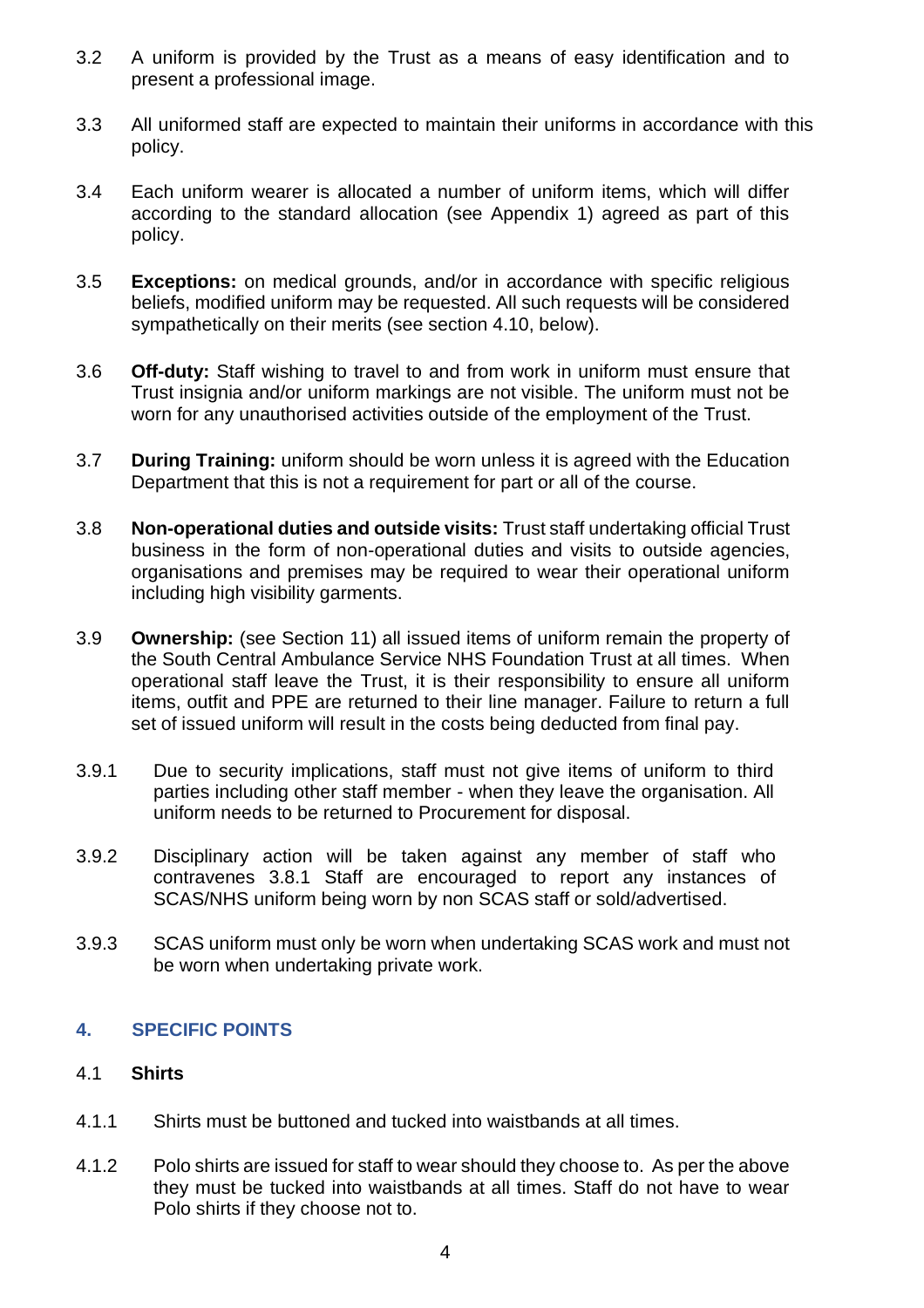- 3.2 A uniform is provided by the Trust as a means of easy identification and to present a professional image.
- 3.3 All uniformed staff are expected to maintain their uniforms in accordance with this policy.
- 3.4 Each uniform wearer is allocated a number of uniform items, which will differ according to the standard allocation (see Appendix 1) agreed as part of this policy.
- 3.5 **Exceptions:** on medical grounds, and/or in accordance with specific religious beliefs, modified uniform may be requested. All such requests will be considered sympathetically on their merits (see section 4.10, below).
- 3.6 **Off-duty:** Staff wishing to travel to and from work in uniform must ensure that Trust insignia and/or uniform markings are not visible. The uniform must not be worn for any unauthorised activities outside of the employment of the Trust.
- 3.7 **During Training:** uniform should be worn unless it is agreed with the Education Department that this is not a requirement for part or all of the course.
- 3.8 **Non-operational duties and outside visits:** Trust staff undertaking official Trust business in the form of non-operational duties and visits to outside agencies, organisations and premises may be required to wear their operational uniform including high visibility garments.
- 3.9 **Ownership:** (see Section 11) all issued items of uniform remain the property of the South Central Ambulance Service NHS Foundation Trust at all times. When operational staff leave the Trust, it is their responsibility to ensure all uniform items, outfit and PPE are returned to their line manager. Failure to return a full set of issued uniform will result in the costs being deducted from final pay.
- 3.9.1 Due to security implications, staff must not give items of uniform to third parties including other staff member - when they leave the organisation. All uniform needs to be returned to Procurement for disposal.
- 3.9.2 Disciplinary action will be taken against any member of staff who contravenes 3.8.1 Staff are encouraged to report any instances of SCAS/NHS uniform being worn by non SCAS staff or sold/advertised.
- 3.9.3 SCAS uniform must only be worn when undertaking SCAS work and must not be worn when undertaking private work.

# <span id="page-3-0"></span>**4. SPECIFIC POINTS**

# 4.1 **Shirts**

- 4.1.1 Shirts must be buttoned and tucked into waistbands at all times.
- 4.1.2 Polo shirts are issued for staff to wear should they choose to. As per the above they must be tucked into waistbands at all times. Staff do not have to wear Polo shirts if they choose not to.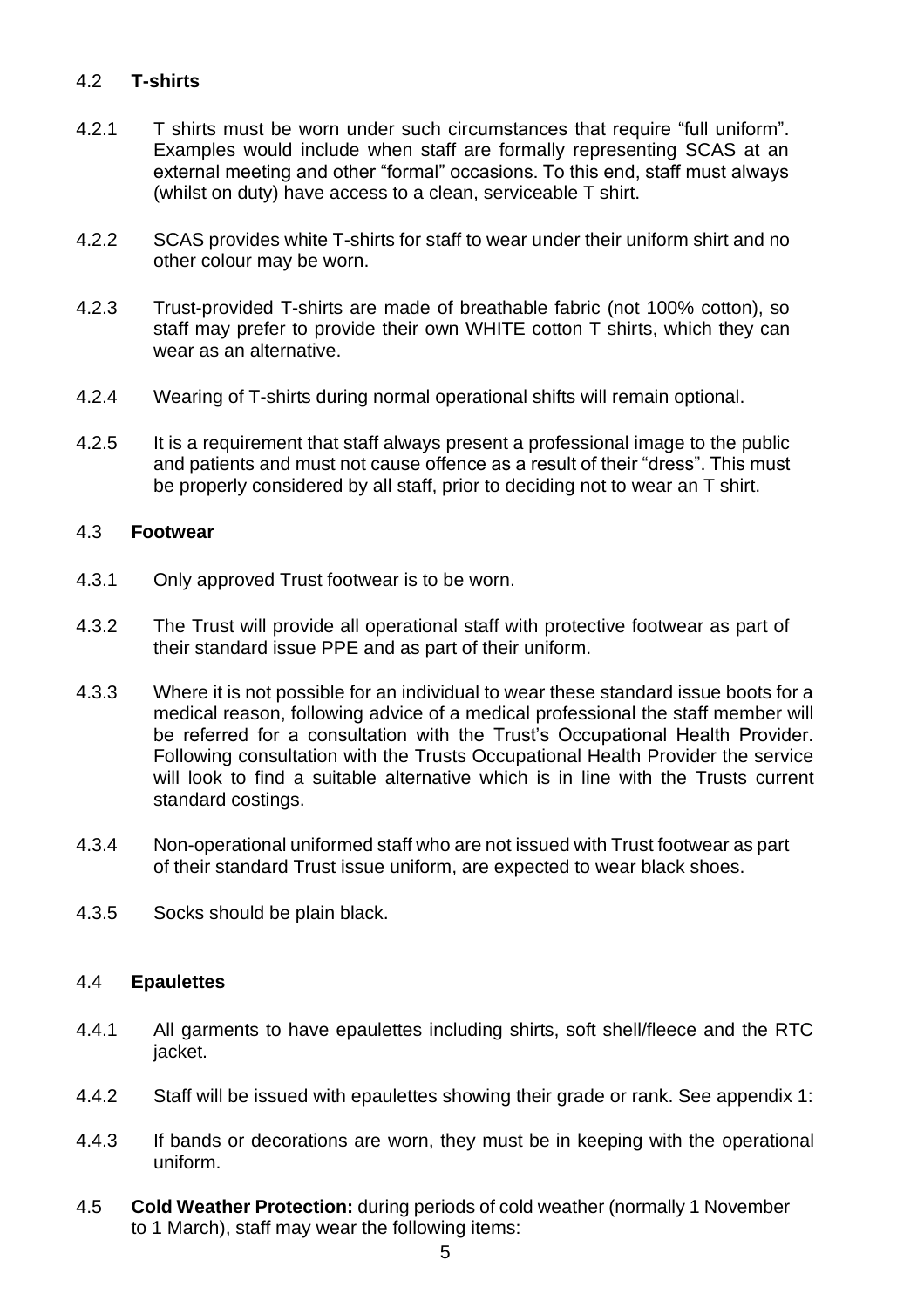# 4.2 **T-shirts**

- 4.2.1 T shirts must be worn under such circumstances that require "full uniform". Examples would include when staff are formally representing SCAS at an external meeting and other "formal" occasions. To this end, staff must always (whilst on duty) have access to a clean, serviceable T shirt.
- 4.2.2 SCAS provides white T-shirts for staff to wear under their uniform shirt and no other colour may be worn.
- 4.2.3 Trust-provided T-shirts are made of breathable fabric (not 100% cotton), so staff may prefer to provide their own WHITE cotton T shirts, which they can wear as an alternative.
- 4.2.4 Wearing of T-shirts during normal operational shifts will remain optional.
- 4.2.5 It is a requirement that staff always present a professional image to the public and patients and must not cause offence as a result of their "dress". This must be properly considered by all staff, prior to deciding not to wear an T shirt.

# 4.3 **Footwear**

- 4.3.1 Only approved Trust footwear is to be worn.
- 4.3.2 The Trust will provide all operational staff with protective footwear as part of their standard issue PPE and as part of their uniform.
- 4.3.3 Where it is not possible for an individual to wear these standard issue boots for a medical reason, following advice of a medical professional the staff member will be referred for a consultation with the Trust's Occupational Health Provider. Following consultation with the Trusts Occupational Health Provider the service will look to find a suitable alternative which is in line with the Trusts current standard costings.
- 4.3.4 Non-operational uniformed staff who are not issued with Trust footwear as part of their standard Trust issue uniform, are expected to wear black shoes.
- 4.3.5 Socks should be plain black.

#### 4.4 **Epaulettes**

- 4.4.1 All garments to have epaulettes including shirts, soft shell/fleece and the RTC jacket.
- 4.4.2 Staff will be issued with epaulettes showing their grade or rank. See appendix 1:
- 4.4.3 If bands or decorations are worn, they must be in keeping with the operational uniform.
- 4.5 **Cold Weather Protection:** during periods of cold weather (normally 1 November to 1 March), staff may wear the following items: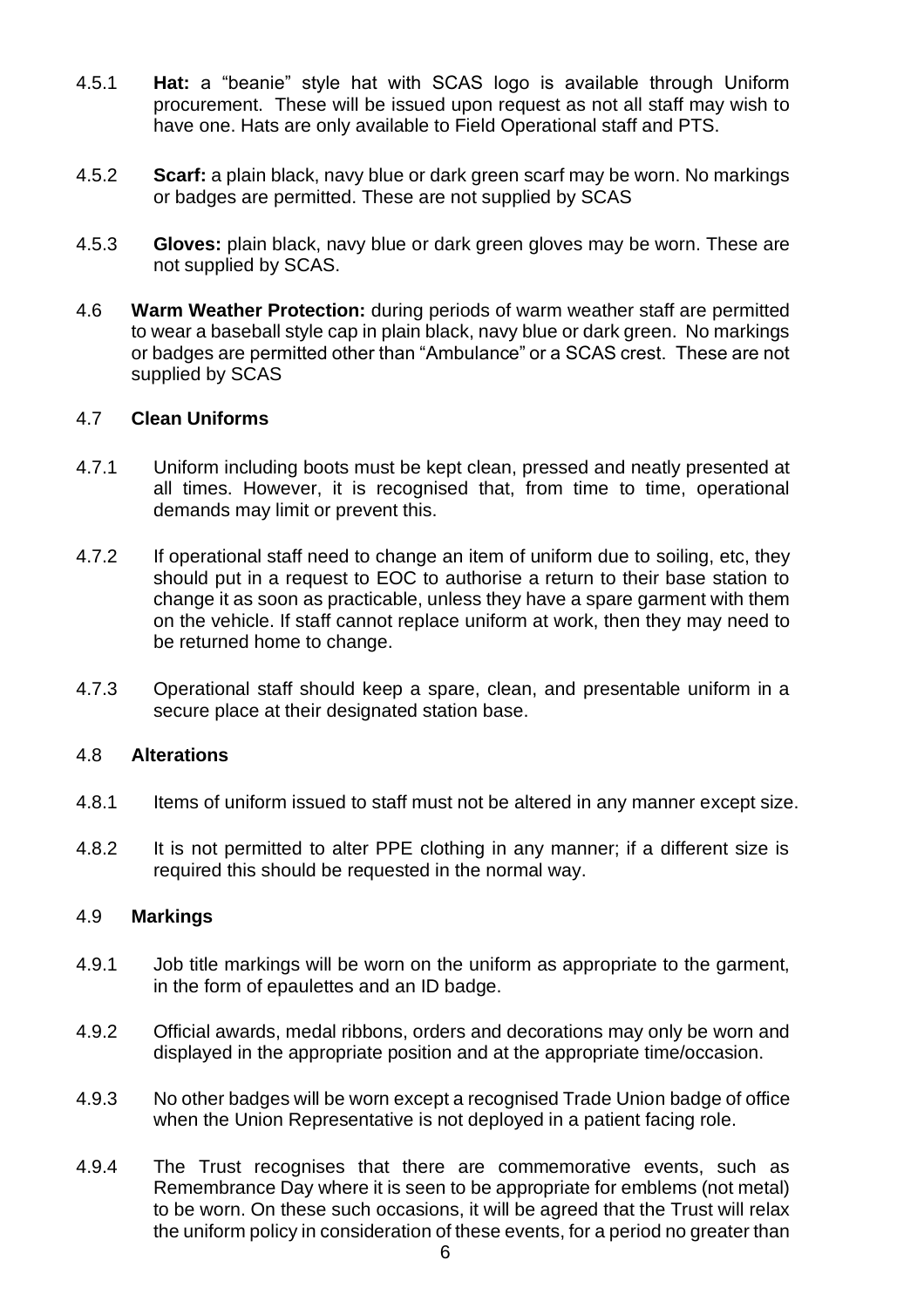- 4.5.1 **Hat:** a "beanie" style hat with SCAS logo is available through Uniform procurement. These will be issued upon request as not all staff may wish to have one. Hats are only available to Field Operational staff and PTS.
- 4.5.2 **Scarf:** a plain black, navy blue or dark green scarf may be worn. No markings or badges are permitted. These are not supplied by SCAS
- 4.5.3 **Gloves:** plain black, navy blue or dark green gloves may be worn. These are not supplied by SCAS.
- 4.6 **Warm Weather Protection:** during periods of warm weather staff are permitted to wear a baseball style cap in plain black, navy blue or dark green. No markings or badges are permitted other than "Ambulance" or a SCAS crest. These are not supplied by SCAS

# 4.7 **Clean Uniforms**

- 4.7.1 Uniform including boots must be kept clean, pressed and neatly presented at all times. However, it is recognised that, from time to time, operational demands may limit or prevent this.
- 4.7.2 If operational staff need to change an item of uniform due to soiling, etc, they should put in a request to EOC to authorise a return to their base station to change it as soon as practicable, unless they have a spare garment with them on the vehicle. If staff cannot replace uniform at work, then they may need to be returned home to change.
- 4.7.3 Operational staff should keep a spare, clean, and presentable uniform in a secure place at their designated station base.

# 4.8 **Alterations**

- 4.8.1 Items of uniform issued to staff must not be altered in any manner except size.
- 4.8.2 It is not permitted to alter PPE clothing in any manner; if a different size is required this should be requested in the normal way.

# 4.9 **Markings**

- 4.9.1 Job title markings will be worn on the uniform as appropriate to the garment, in the form of epaulettes and an ID badge.
- 4.9.2 Official awards, medal ribbons, orders and decorations may only be worn and displayed in the appropriate position and at the appropriate time/occasion.
- 4.9.3 No other badges will be worn except a recognised Trade Union badge of office when the Union Representative is not deployed in a patient facing role.
- 4.9.4 The Trust recognises that there are commemorative events, such as Remembrance Day where it is seen to be appropriate for emblems (not metal) to be worn. On these such occasions, it will be agreed that the Trust will relax the uniform policy in consideration of these events, for a period no greater than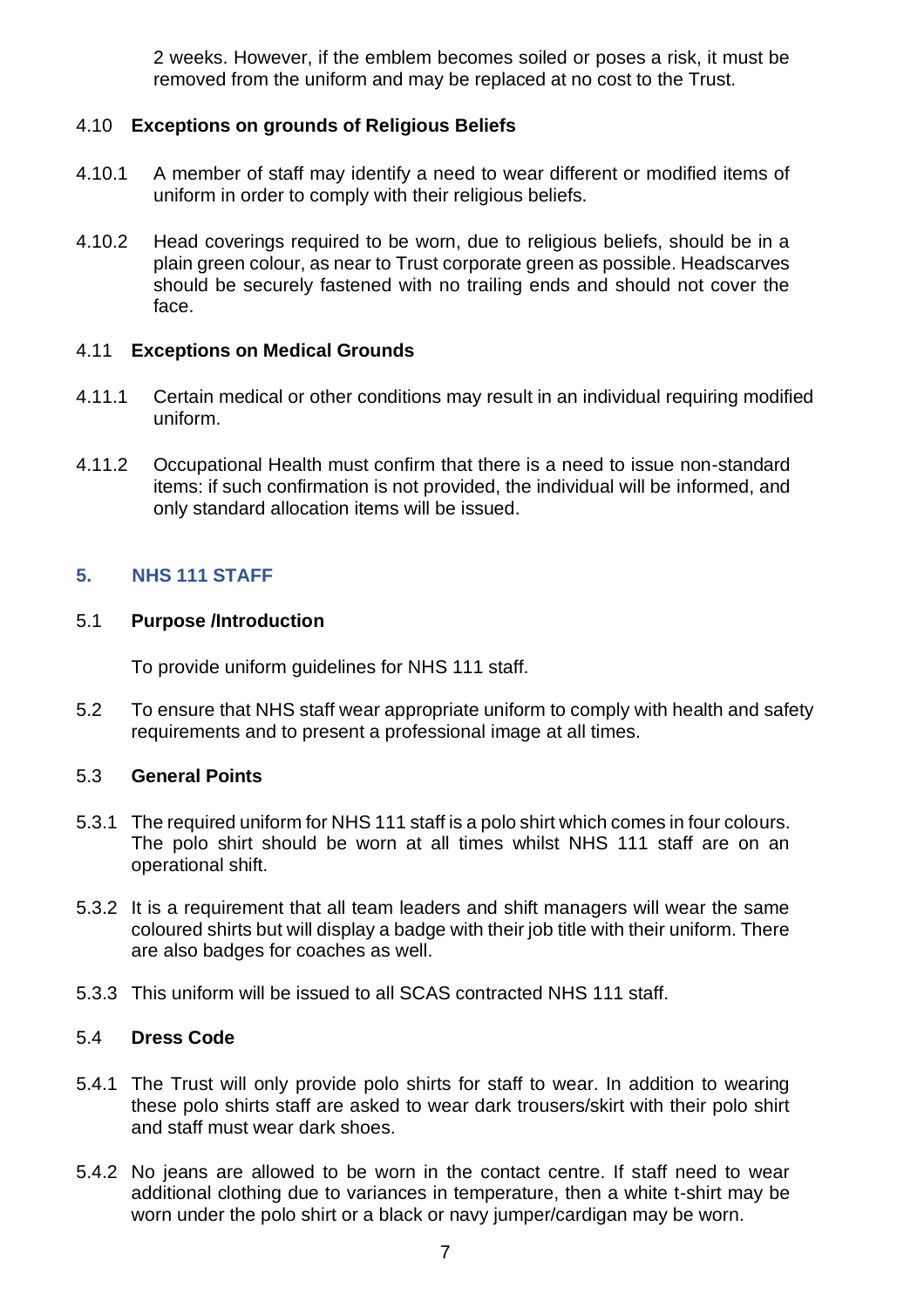2 weeks. However, if the emblem becomes soiled or poses a risk, it must be removed from the uniform and may be replaced at no cost to the Trust.

# 4.10 **Exceptions on grounds of Religious Beliefs**

- 4.10.1 A member of staff may identify a need to wear different or modified items of uniform in order to comply with their religious beliefs.
- 4.10.2 Head coverings required to be worn, due to religious beliefs, should be in a plain green colour, as near to Trust corporate green as possible. Headscarves should be securely fastened with no trailing ends and should not cover the face.

# 4.11 **Exceptions on Medical Grounds**

- 4.11.1 Certain medical or other conditions may result in an individual requiring modified uniform.
- 4.11.2 Occupational Health must confirm that there is a need to issue non-standard items: if such confirmation is not provided, the individual will be informed, and only standard allocation items will be issued.

# <span id="page-6-0"></span>**5. NHS 111 STAFF**

#### 5.1 **Purpose /Introduction**

To provide uniform guidelines for NHS 111 staff.

5.2 To ensure that NHS staff wear appropriate uniform to comply with health and safety requirements and to present a professional image at all times.

# 5.3 **General Points**

- 5.3.1 The required uniform for NHS 111 staff is a polo shirt which comes in four colours. The polo shirt should be worn at all times whilst NHS 111 staff are on an operational shift.
- 5.3.2 It is a requirement that all team leaders and shift managers will wear the same coloured shirts but will display a badge with their job title with their uniform. There are also badges for coaches as well.
- 5.3.3 This uniform will be issued to all SCAS contracted NHS 111 staff.

# 5.4 **Dress Code**

- 5.4.1 The Trust will only provide polo shirts for staff to wear. In addition to wearing these polo shirts staff are asked to wear dark trousers/skirt with their polo shirt and staff must wear dark shoes.
- 5.4.2 No jeans are allowed to be worn in the contact centre. If staff need to wear additional clothing due to variances in temperature, then a white t-shirt may be worn under the polo shirt or a black or navy jumper/cardigan may be worn.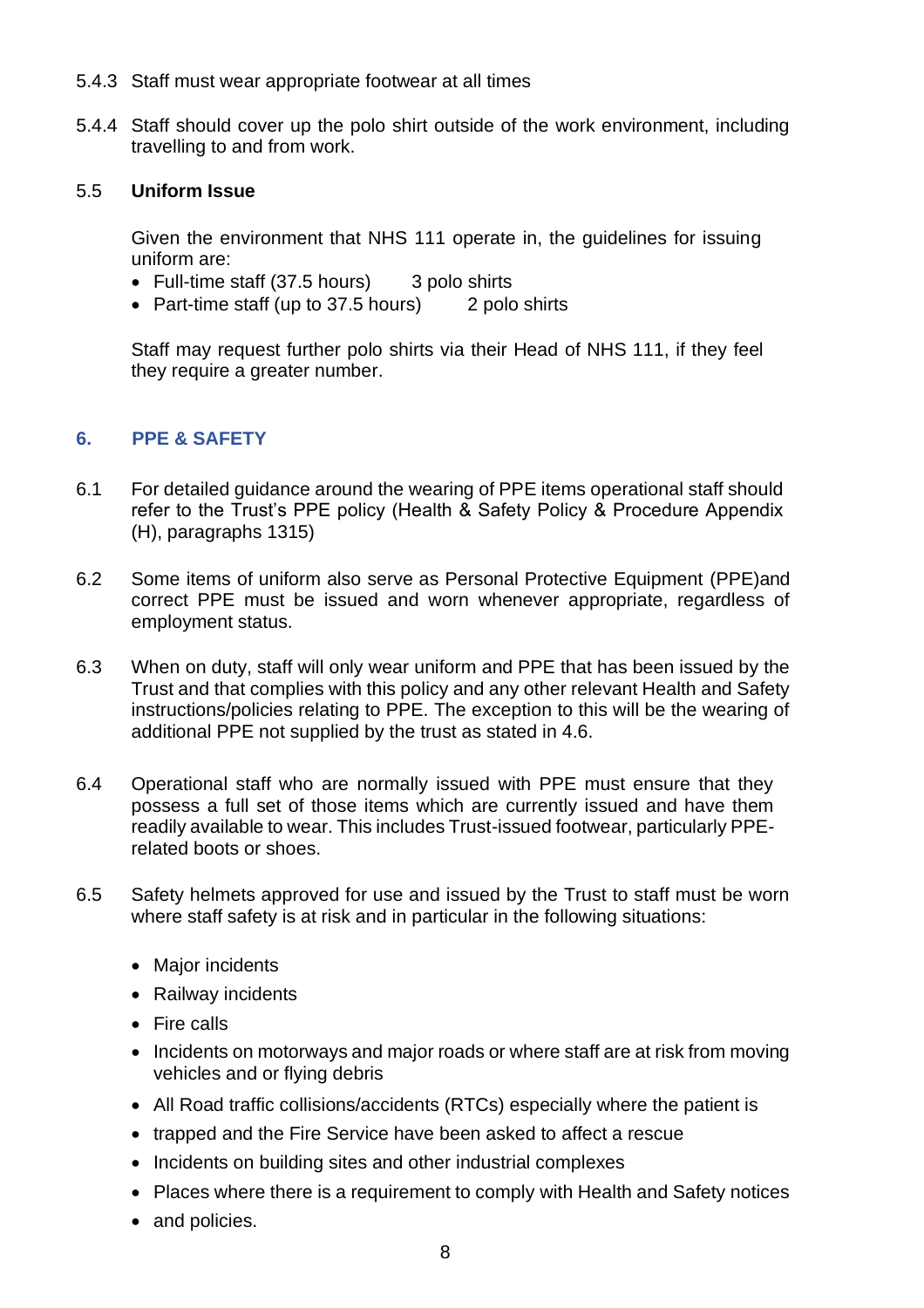- 5.4.3 Staff must wear appropriate footwear at all times
- 5.4.4 Staff should cover up the polo shirt outside of the work environment, including travelling to and from work.

## 5.5 **Uniform Issue**

Given the environment that NHS 111 operate in, the guidelines for issuing uniform are:

- Full-time staff (37.5 hours) 3 polo shirts
- Part-time staff (up to 37.5 hours) 2 polo shirts

Staff may request further polo shirts via their Head of NHS 111, if they feel they require a greater number.

# <span id="page-7-0"></span>**6. PPE & SAFETY**

- 6.1 For detailed guidance around the wearing of PPE items operational staff should refer to the Trust's PPE policy (Health & Safety Policy & Procedure Appendix (H), paragraphs 1315)
- 6.2 Some items of uniform also serve as Personal Protective Equipment (PPE)and correct PPE must be issued and worn whenever appropriate, regardless of employment status.
- 6.3 When on duty, staff will only wear uniform and PPE that has been issued by the Trust and that complies with this policy and any other relevant Health and Safety instructions/policies relating to PPE. The exception to this will be the wearing of additional PPE not supplied by the trust as stated in 4.6.
- 6.4 Operational staff who are normally issued with PPE must ensure that they possess a full set of those items which are currently issued and have them readily available to wear. This includes Trust-issued footwear, particularly PPErelated boots or shoes.
- 6.5 Safety helmets approved for use and issued by the Trust to staff must be worn where staff safety is at risk and in particular in the following situations:
	- Maior incidents
	- Railway incidents
	- Fire calls
	- Incidents on motorways and major roads or where staff are at risk from moving vehicles and or flying debris
	- All Road traffic collisions/accidents (RTCs) especially where the patient is
	- trapped and the Fire Service have been asked to affect a rescue
	- Incidents on building sites and other industrial complexes
	- Places where there is a requirement to comply with Health and Safety notices
	- and policies.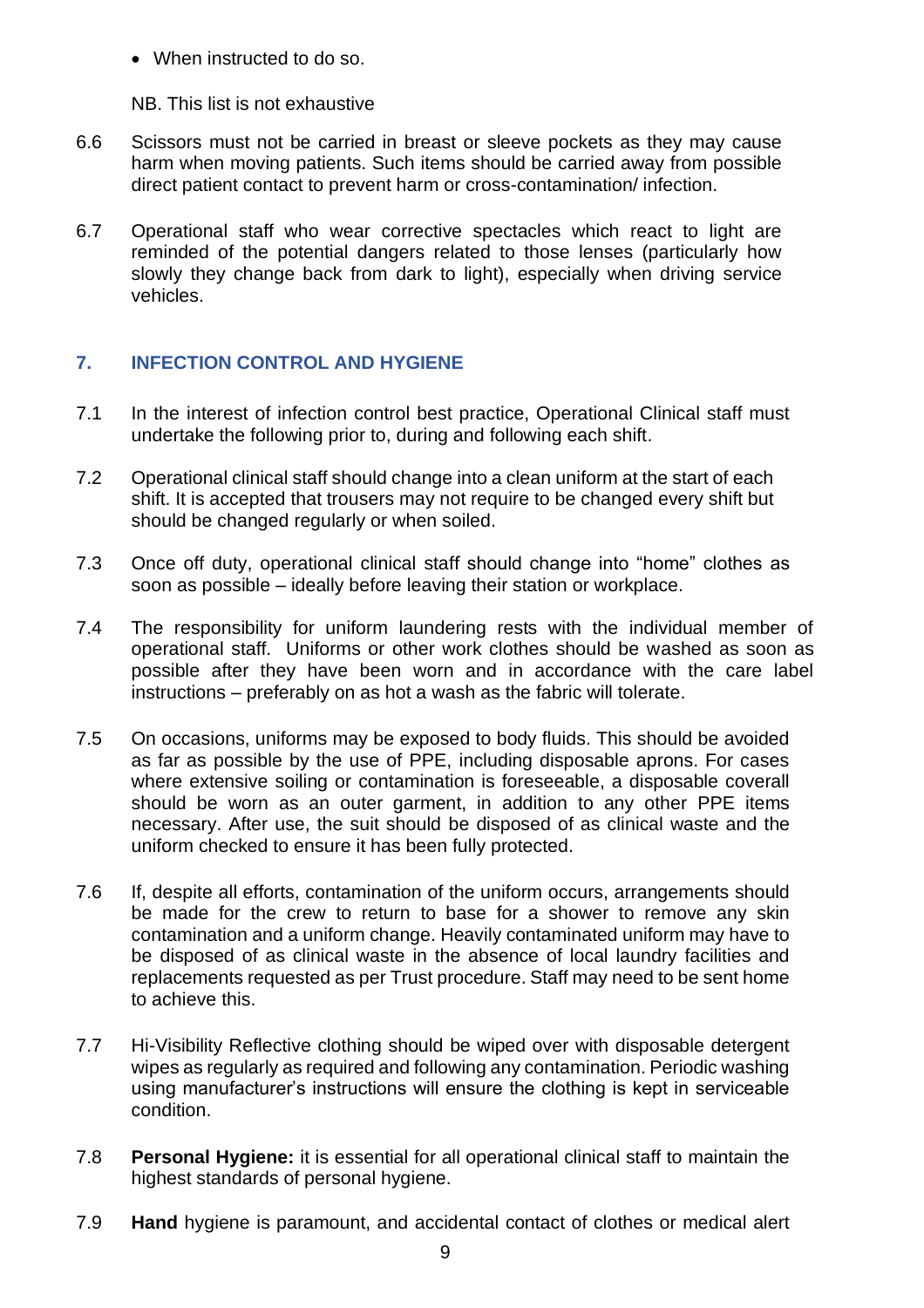• When instructed to do so.

NB. This list is not exhaustive

- 6.6 Scissors must not be carried in breast or sleeve pockets as they may cause harm when moving patients. Such items should be carried away from possible direct patient contact to prevent harm or cross-contamination/ infection.
- 6.7 Operational staff who wear corrective spectacles which react to light are reminded of the potential dangers related to those lenses (particularly how slowly they change back from dark to light), especially when driving service vehicles.

# <span id="page-8-0"></span>**7. INFECTION CONTROL AND HYGIENE**

- 7.1 In the interest of infection control best practice, Operational Clinical staff must undertake the following prior to, during and following each shift.
- 7.2 Operational clinical staff should change into a clean uniform at the start of each shift. It is accepted that trousers may not require to be changed every shift but should be changed regularly or when soiled.
- 7.3 Once off duty, operational clinical staff should change into "home" clothes as soon as possible – ideally before leaving their station or workplace.
- 7.4 The responsibility for uniform laundering rests with the individual member of operational staff. Uniforms or other work clothes should be washed as soon as possible after they have been worn and in accordance with the care label instructions – preferably on as hot a wash as the fabric will tolerate.
- 7.5 On occasions, uniforms may be exposed to body fluids. This should be avoided as far as possible by the use of PPE, including disposable aprons. For cases where extensive soiling or contamination is foreseeable, a disposable coverall should be worn as an outer garment, in addition to any other PPE items necessary. After use, the suit should be disposed of as clinical waste and the uniform checked to ensure it has been fully protected.
- 7.6 If, despite all efforts, contamination of the uniform occurs, arrangements should be made for the crew to return to base for a shower to remove any skin contamination and a uniform change. Heavily contaminated uniform may have to be disposed of as clinical waste in the absence of local laundry facilities and replacements requested as per Trust procedure. Staff may need to be sent home to achieve this.
- 7.7 Hi-Visibility Reflective clothing should be wiped over with disposable detergent wipes as regularly as required and following any contamination. Periodic washing using manufacturer's instructions will ensure the clothing is kept in serviceable condition.
- 7.8 **Personal Hygiene:** it is essential for all operational clinical staff to maintain the highest standards of personal hygiene.
- 7.9 **Hand** hygiene is paramount, and accidental contact of clothes or medical alert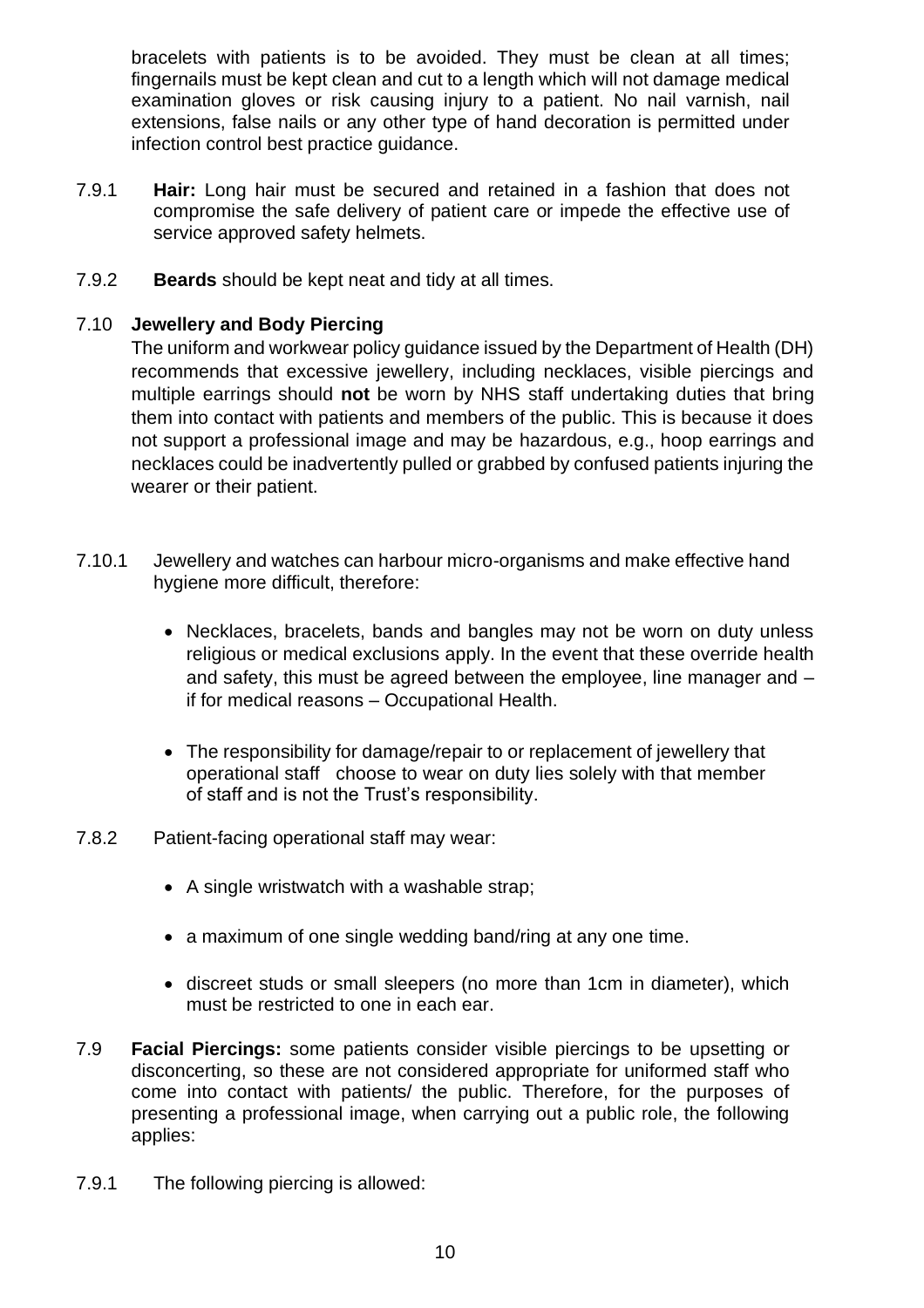bracelets with patients is to be avoided. They must be clean at all times; fingernails must be kept clean and cut to a length which will not damage medical examination gloves or risk causing injury to a patient. No nail varnish, nail extensions, false nails or any other type of hand decoration is permitted under infection control best practice guidance.

- 7.9.1 **Hair:** Long hair must be secured and retained in a fashion that does not compromise the safe delivery of patient care or impede the effective use of service approved safety helmets.
- 7.9.2 **Beards** should be kept neat and tidy at all times.

# 7.10 **Jewellery and Body Piercing**

The uniform and workwear policy guidance issued by the Department of Health (DH) recommends that excessive jewellery, including necklaces, visible piercings and multiple earrings should **not** be worn by NHS staff undertaking duties that bring them into contact with patients and members of the public. This is because it does not support a professional image and may be hazardous, e.g., hoop earrings and necklaces could be inadvertently pulled or grabbed by confused patients injuring the wearer or their patient.

- 7.10.1 Jewellery and watches can harbour micro-organisms and make effective hand hygiene more difficult, therefore:
	- Necklaces, bracelets, bands and bangles may not be worn on duty unless religious or medical exclusions apply. In the event that these override health and safety, this must be agreed between the employee, line manager and – if for medical reasons – Occupational Health.
	- The responsibility for damage/repair to or replacement of jewellery that operational staff choose to wear on duty lies solely with that member of staff and is not the Trust's responsibility.
- 7.8.2 Patient-facing operational staff may wear:
	- A single wristwatch with a washable strap;
	- a maximum of one single wedding band/ring at any one time.
	- discreet studs or small sleepers (no more than 1cm in diameter), which must be restricted to one in each ear.
- 7.9 **Facial Piercings:** some patients consider visible piercings to be upsetting or disconcerting, so these are not considered appropriate for uniformed staff who come into contact with patients/ the public. Therefore, for the purposes of presenting a professional image, when carrying out a public role, the following applies:
- 7.9.1 The following piercing is allowed: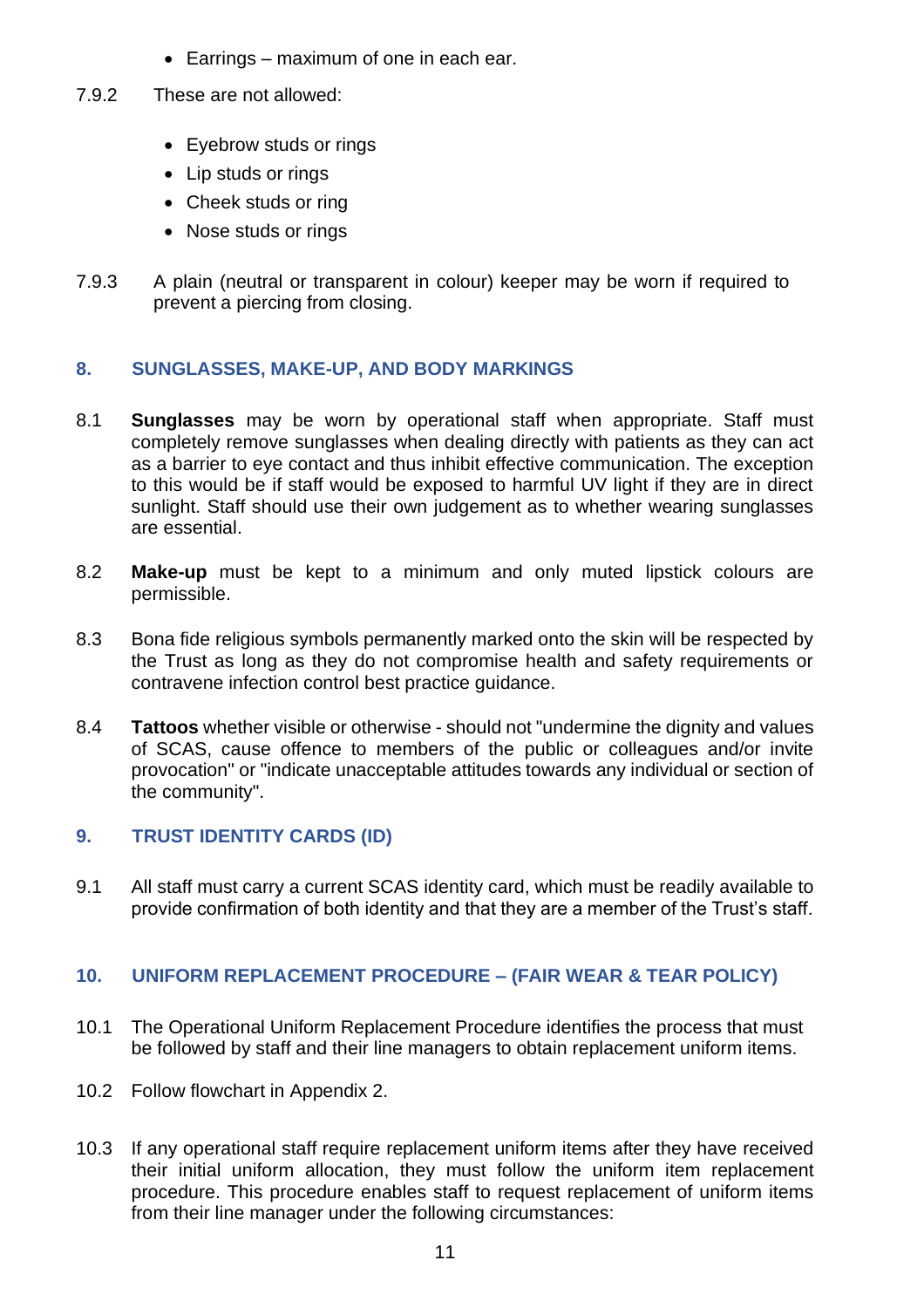- Earrings maximum of one in each ear.
- 7.9.2 These are not allowed:
	- Eyebrow studs or rings
	- Lip studs or rings
	- Cheek studs or ring
	- Nose studs or rings
- 7.9.3 A plain (neutral or transparent in colour) keeper may be worn if required to prevent a piercing from closing.

# <span id="page-10-0"></span>**8. SUNGLASSES, MAKE-UP, AND BODY MARKINGS**

- 8.1 **Sunglasses** may be worn by operational staff when appropriate. Staff must completely remove sunglasses when dealing directly with patients as they can act as a barrier to eye contact and thus inhibit effective communication. The exception to this would be if staff would be exposed to harmful UV light if they are in direct sunlight. Staff should use their own judgement as to whether wearing sunglasses are essential.
- 8.2 **Make-up** must be kept to a minimum and only muted lipstick colours are permissible.
- 8.3 Bona fide religious symbols permanently marked onto the skin will be respected by the Trust as long as they do not compromise health and safety requirements or contravene infection control best practice guidance.
- 8.4 **Tattoos** whether visible or otherwise should not "undermine the dignity and values of SCAS, cause offence to members of the public or colleagues and/or invite provocation" or "indicate unacceptable attitudes towards any individual or section of the community".

# <span id="page-10-1"></span>**9. TRUST IDENTITY CARDS (ID)**

9.1 All staff must carry a current SCAS identity card, which must be readily available to provide confirmation of both identity and that they are a member of the Trust's staff.

# <span id="page-10-2"></span>**10. UNIFORM REPLACEMENT PROCEDURE – (FAIR WEAR & TEAR POLICY)**

- 10.1 The Operational Uniform Replacement Procedure identifies the process that must be followed by staff and their line managers to obtain replacement uniform items.
- 10.2 Follow flowchart in Appendix 2.
- 10.3 If any operational staff require replacement uniform items after they have received their initial uniform allocation, they must follow the uniform item replacement procedure. This procedure enables staff to request replacement of uniform items from their line manager under the following circumstances: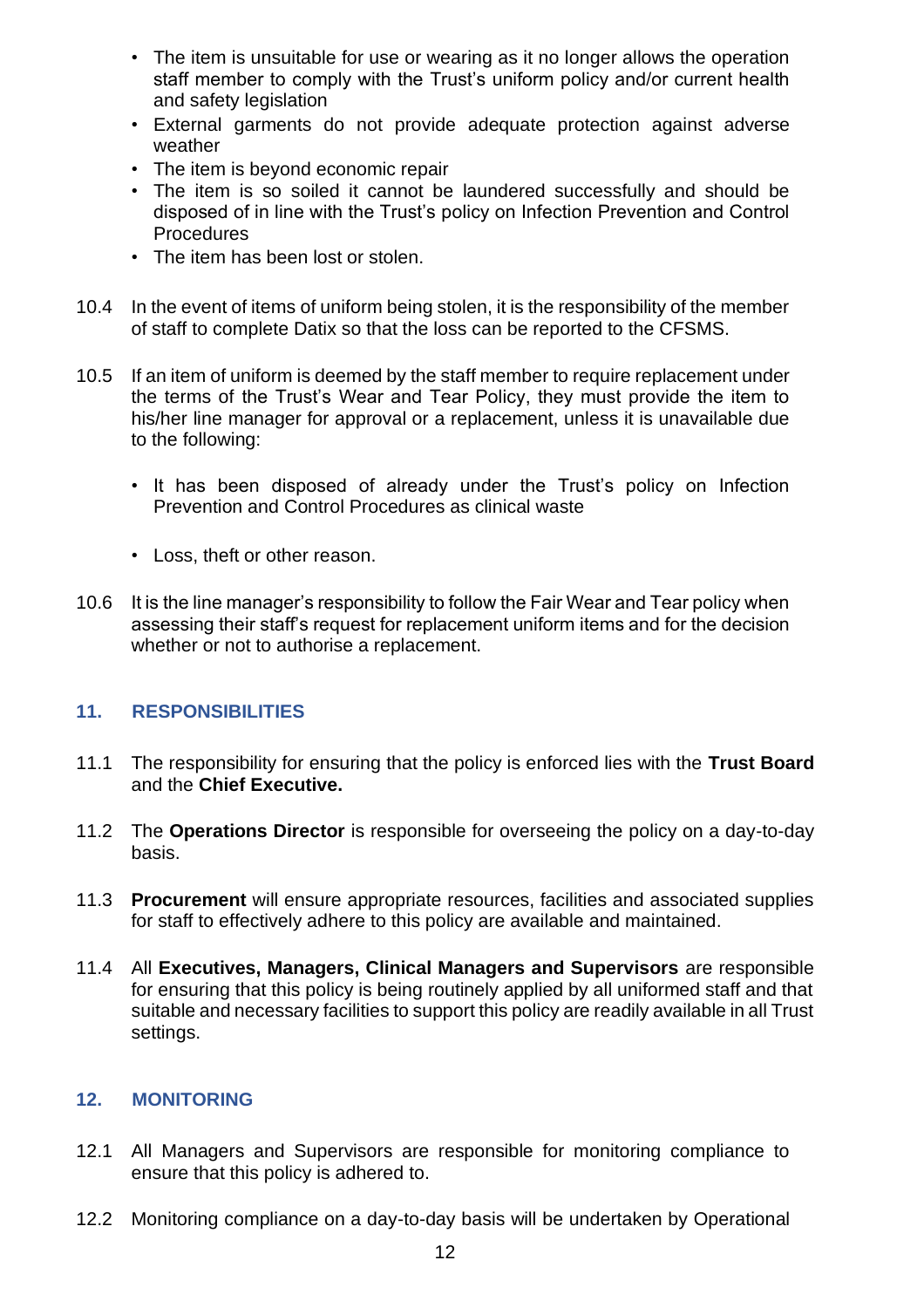- The item is unsuitable for use or wearing as it no longer allows the operation staff member to comply with the Trust's uniform policy and/or current health and safety legislation
- External garments do not provide adequate protection against adverse weather
- The item is beyond economic repair
- The item is so soiled it cannot be laundered successfully and should be disposed of in line with the Trust's policy on Infection Prevention and Control **Procedures**
- The item has been lost or stolen.
- 10.4 In the event of items of uniform being stolen, it is the responsibility of the member of staff to complete Datix so that the loss can be reported to the CFSMS.
- 10.5 If an item of uniform is deemed by the staff member to require replacement under the terms of the Trust's Wear and Tear Policy, they must provide the item to his/her line manager for approval or a replacement, unless it is unavailable due to the following:
	- It has been disposed of already under the Trust's policy on Infection Prevention and Control Procedures as clinical waste
	- Loss, theft or other reason.
- 10.6 It is the line manager's responsibility to follow the Fair Wear and Tear policy when assessing their staff's request for replacement uniform items and for the decision whether or not to authorise a replacement.

# <span id="page-11-0"></span>**11. RESPONSIBILITIES**

- 11.1 The responsibility for ensuring that the policy is enforced lies with the **Trust Board**  and the **Chief Executive.**
- 11.2 The **Operations Director** is responsible for overseeing the policy on a day-to-day basis.
- 11.3 **Procurement** will ensure appropriate resources, facilities and associated supplies for staff to effectively adhere to this policy are available and maintained.
- 11.4 All **Executives, Managers, Clinical Managers and Supervisors** are responsible for ensuring that this policy is being routinely applied by all uniformed staff and that suitable and necessary facilities to support this policy are readily available in all Trust settings.

# <span id="page-11-1"></span>**12. MONITORING**

- 12.1 All Managers and Supervisors are responsible for monitoring compliance to ensure that this policy is adhered to.
- 12.2 Monitoring compliance on a day-to-day basis will be undertaken by Operational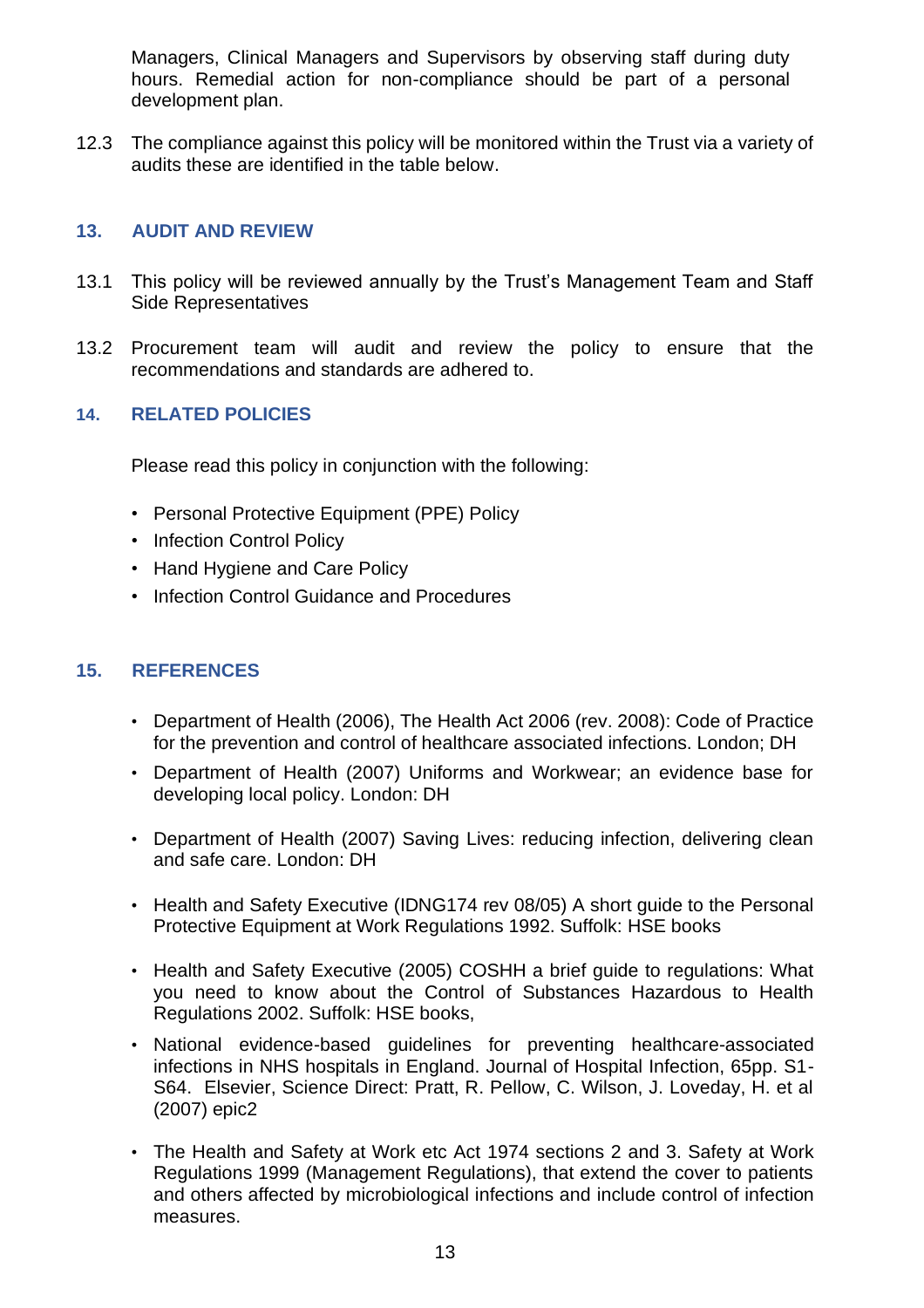Managers, Clinical Managers and Supervisors by observing staff during duty hours. Remedial action for non-compliance should be part of a personal development plan.

12.3 The compliance against this policy will be monitored within the Trust via a variety of audits these are identified in the table below.

# <span id="page-12-0"></span>**13. AUDIT AND REVIEW**

- 13.1 This policy will be reviewed annually by the Trust's Management Team and Staff Side Representatives
- 13.2 Procurement team will audit and review the policy to ensure that the recommendations and standards are adhered to.

# <span id="page-12-1"></span>**14. RELATED POLICIES**

Please read this policy in conjunction with the following:

- Personal Protective Equipment (PPE) Policy
- Infection Control Policy
- Hand Hygiene and Care Policy
- Infection Control Guidance and Procedures

# <span id="page-12-2"></span>**15. REFERENCES**

- Department of Health (2006), The Health Act 2006 (rev. 2008): Code of Practice for the prevention and control of healthcare associated infections. London; DH
- Department of Health (2007) Uniforms and Workwear; an evidence base for developing local policy. London: DH
- Department of Health (2007) Saving Lives: reducing infection, delivering clean and safe care. London: DH
- Health and Safety Executive (IDNG174 rev 08/05) A short guide to the Personal Protective Equipment at Work Regulations 1992. Suffolk: HSE books
- Health and Safety Executive (2005) COSHH a brief guide to regulations: What you need to know about the Control of Substances Hazardous to Health Regulations 2002. Suffolk: HSE books,
- National evidence-based guidelines for preventing healthcare-associated infections in NHS hospitals in England. Journal of Hospital Infection, 65pp. S1- S64. Elsevier, Science Direct: Pratt, R. Pellow, C. Wilson, J. Loveday, H. et al (2007) epic2
- The Health and Safety at Work etc Act 1974 sections 2 and 3. Safety at Work Regulations 1999 (Management Regulations), that extend the cover to patients and others affected by microbiological infections and include control of infection measures.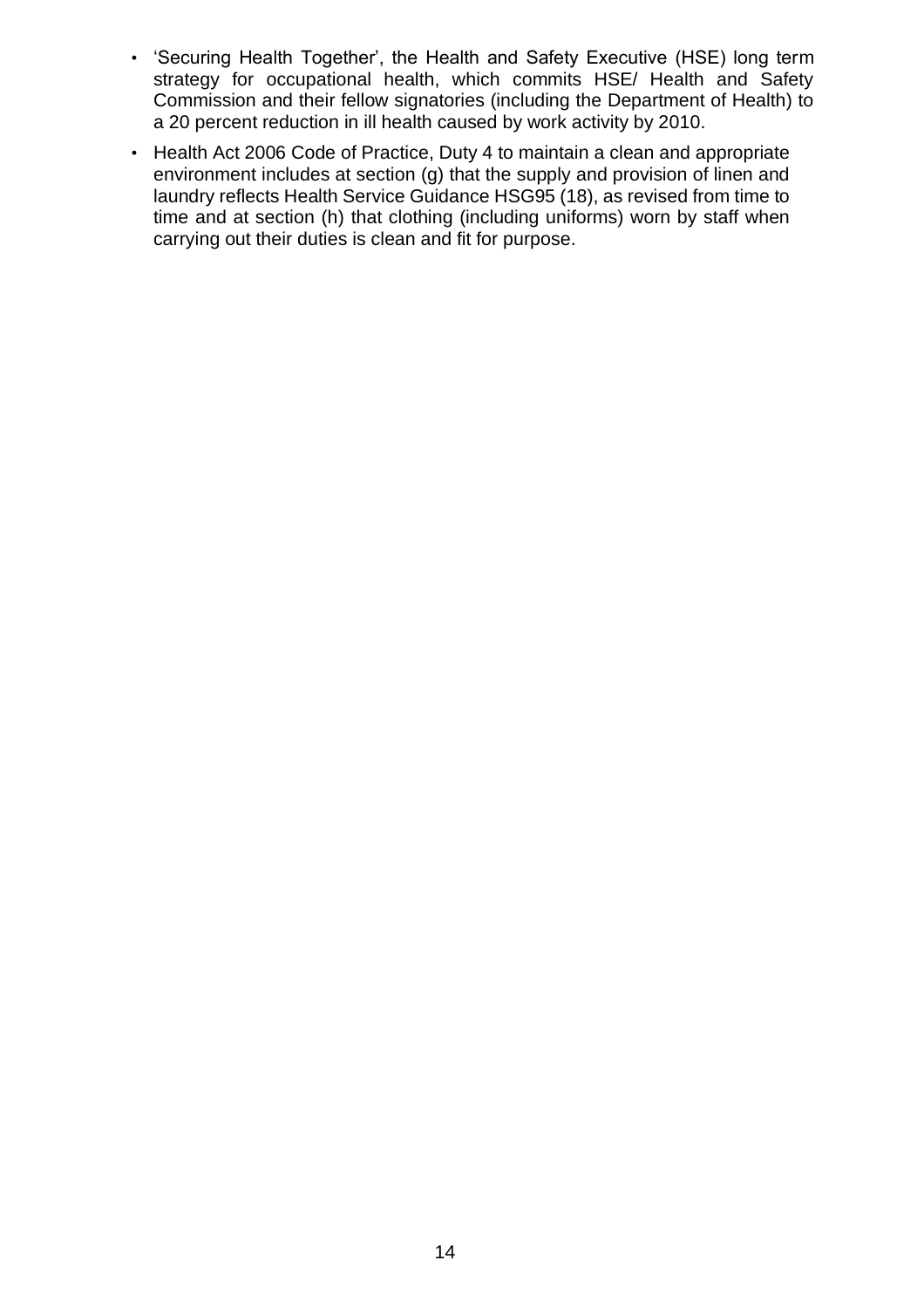- 'Securing Health Together', the Health and Safety Executive (HSE) long term strategy for occupational health, which commits HSE/ Health and Safety Commission and their fellow signatories (including the Department of Health) to a 20 percent reduction in ill health caused by work activity by 2010.
- Health Act 2006 Code of Practice, Duty 4 to maintain a clean and appropriate environment includes at section (g) that the supply and provision of linen and laundry reflects Health Service Guidance HSG95 (18), as revised from time to time and at section (h) that clothing (including uniforms) worn by staff when carrying out their duties is clean and fit for purpose.